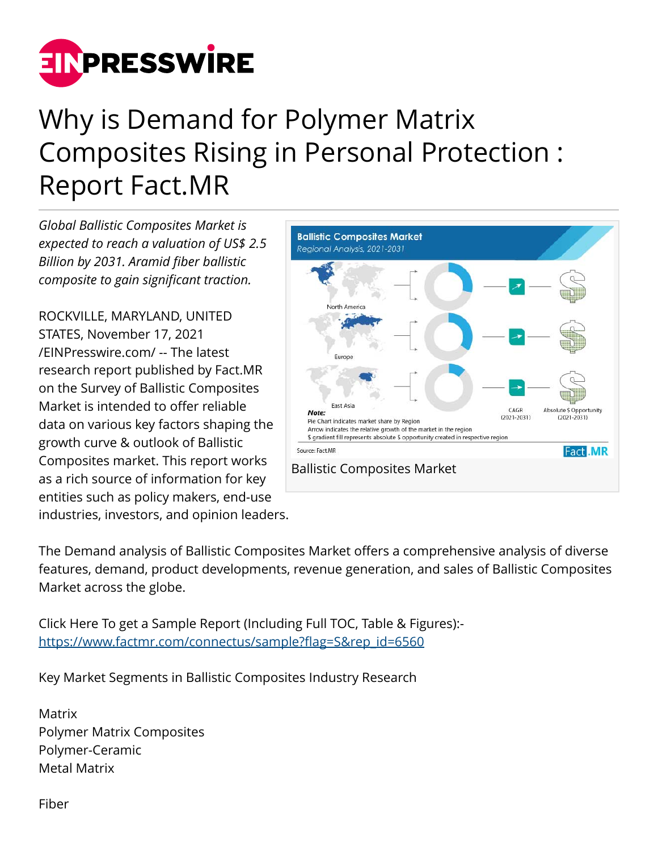

## Why is Demand for Polymer Matrix Composites Rising in Personal Protection : Report Fact.MR

*Global Ballistic Composites Market is expected to reach a valuation of US\$ 2.5 Billion by 2031. Aramid fiber ballistic composite to gain significant traction.*

ROCKVILLE, MARYLAND, UNITED STATES, November 17, 2021 [/EINPresswire.com/](http://www.einpresswire.com) -- The latest research report published by Fact.MR on the Survey of Ballistic Composites Market is intended to offer reliable data on various key factors shaping the growth curve & outlook of Ballistic Composites market. This report works as a rich source of information for key entities such as policy makers, end-use industries, investors, and opinion leaders.



The Demand analysis of Ballistic Composites Market offers a comprehensive analysis of diverse features, demand, product developments, revenue generation, and sales of Ballistic Composites Market across the globe.

Click Here To get a Sample Report (Including Full TOC, Table & Figures): [https://www.factmr.com/connectus/sample?flag=S&rep\\_id=6560](https://www.factmr.com/connectus/sample?flag=S&rep_id=6560)

Key Market Segments in Ballistic Composites Industry Research

Matrix Polymer Matrix Composites Polymer-Ceramic Metal Matrix

Fiber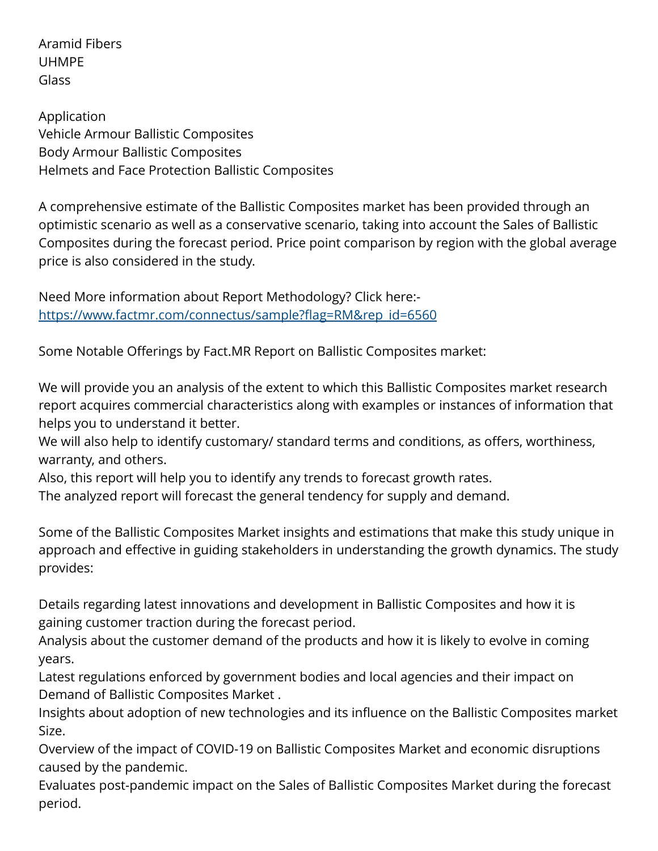Aramid Fibers UHMPE Glass

Application Vehicle Armour Ballistic Composites Body Armour Ballistic Composites Helmets and Face Protection Ballistic Composites

A comprehensive estimate of the Ballistic Composites market has been provided through an optimistic scenario as well as a conservative scenario, taking into account the Sales of Ballistic Composites during the forecast period. Price point comparison by region with the global average price is also considered in the study.

Need More information about Report Methodology? Click here: [https://www.factmr.com/connectus/sample?flag=RM&rep\\_id=6560](https://www.factmr.com/connectus/sample?flag=RM&rep_id=6560)

Some Notable Offerings by Fact.MR Report on Ballistic Composites market:

We will provide you an analysis of the extent to which this Ballistic Composites market research report acquires commercial characteristics along with examples or instances of information that helps you to understand it better.

We will also help to identify customary/ standard terms and conditions, as offers, worthiness, warranty, and others.

Also, this report will help you to identify any trends to forecast growth rates.

The analyzed report will forecast the general tendency for supply and demand.

Some of the Ballistic Composites Market insights and estimations that make this study unique in approach and effective in guiding stakeholders in understanding the growth dynamics. The study provides:

Details regarding latest innovations and development in Ballistic Composites and how it is gaining customer traction during the forecast period.

Analysis about the customer demand of the products and how it is likely to evolve in coming years.

Latest regulations enforced by government bodies and local agencies and their impact on Demand of Ballistic Composites Market .

Insights about adoption of new technologies and its influence on the Ballistic Composites market Size.

Overview of the impact of COVID-19 on Ballistic Composites Market and economic disruptions caused by the pandemic.

Evaluates post-pandemic impact on the Sales of Ballistic Composites Market during the forecast period.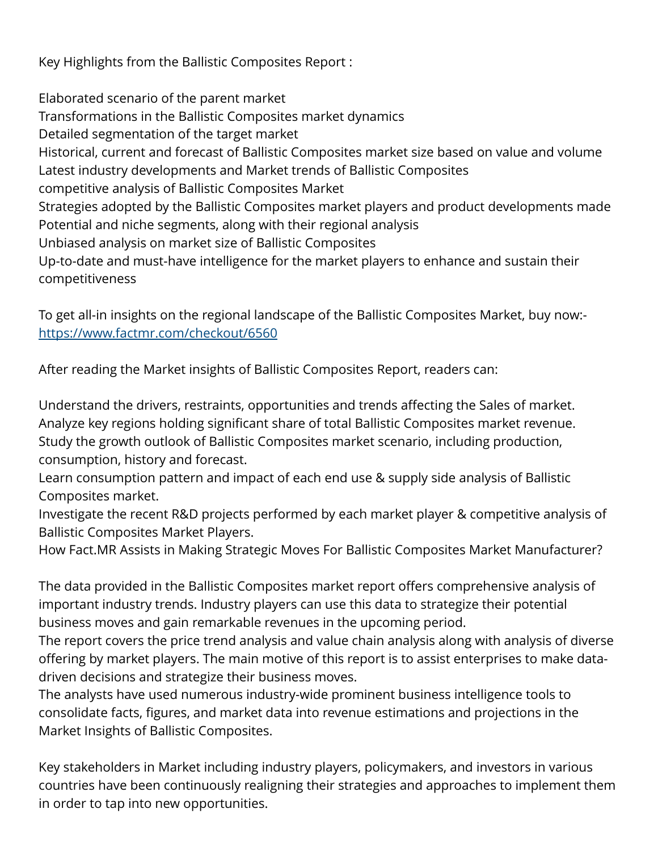Key Highlights from the Ballistic Composites Report :

Elaborated scenario of the parent market Transformations in the Ballistic Composites market dynamics Detailed segmentation of the target market Historical, current and forecast of Ballistic Composites market size based on value and volume Latest industry developments and Market trends of Ballistic Composites competitive analysis of Ballistic Composites Market Strategies adopted by the Ballistic Composites market players and product developments made Potential and niche segments, along with their regional analysis Unbiased analysis on market size of Ballistic Composites Up-to-date and must-have intelligence for the market players to enhance and sustain their competitiveness

To get all-in insights on the regional landscape of the Ballistic Composites Market, buy now: <https://www.factmr.com/checkout/6560>

After reading the Market insights of Ballistic Composites Report, readers can:

Understand the drivers, restraints, opportunities and trends affecting the Sales of market. Analyze key regions holding significant share of total Ballistic Composites market revenue. Study the growth outlook of Ballistic Composites market scenario, including production, consumption, history and forecast.

Learn consumption pattern and impact of each end use & supply side analysis of Ballistic Composites market.

Investigate the recent R&D projects performed by each market player & competitive analysis of Ballistic Composites Market Players.

How Fact.MR Assists in Making Strategic Moves For Ballistic Composites Market Manufacturer?

The data provided in the Ballistic Composites market report offers comprehensive analysis of important industry trends. Industry players can use this data to strategize their potential business moves and gain remarkable revenues in the upcoming period.

The report covers the price trend analysis and value chain analysis along with analysis of diverse offering by market players. The main motive of this report is to assist enterprises to make datadriven decisions and strategize their business moves.

The analysts have used numerous industry-wide prominent business intelligence tools to consolidate facts, figures, and market data into revenue estimations and projections in the Market Insights of Ballistic Composites.

Key stakeholders in Market including industry players, policymakers, and investors in various countries have been continuously realigning their strategies and approaches to implement them in order to tap into new opportunities.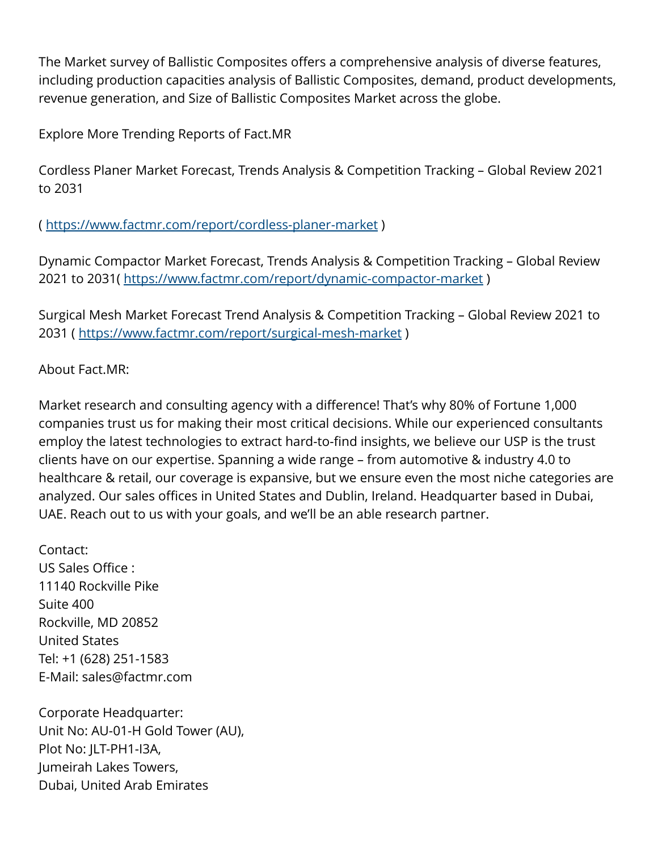The Market survey of Ballistic Composites offers a comprehensive analysis of diverse features, including production capacities analysis of Ballistic Composites, demand, product developments, revenue generation, and Size of Ballistic Composites Market across the globe.

Explore More Trending Reports of Fact.MR

Cordless Planer Market Forecast, Trends Analysis & Competition Tracking – Global Review 2021 to 2031

( <https://www.factmr.com/report/cordless-planer-market>)

Dynamic Compactor Market Forecast, Trends Analysis & Competition Tracking – Global Review 2021 to 2031(<https://www.factmr.com/report/dynamic-compactor-market>)

Surgical Mesh Market Forecast Trend Analysis & Competition Tracking – Global Review 2021 to 2031 (<https://www.factmr.com/report/surgical-mesh-market>)

About Fact.MR:

Market research and consulting agency with a difference! That's why 80% of Fortune 1,000 companies trust us for making their most critical decisions. While our experienced consultants employ the latest technologies to extract hard-to-find insights, we believe our USP is the trust clients have on our expertise. Spanning a wide range – from automotive & industry 4.0 to healthcare & retail, our coverage is expansive, but we ensure even the most niche categories are analyzed. Our sales offices in United States and Dublin, Ireland. Headquarter based in Dubai, UAE. Reach out to us with your goals, and we'll be an able research partner.

Contact: US Sales Office : 11140 Rockville Pike Suite 400 Rockville, MD 20852 United States Tel: +1 (628) 251-1583 E-Mail: sales@factmr.com

Corporate Headquarter: Unit No: AU-01-H Gold Tower (AU), Plot No: JLT-PH1-I3A, Jumeirah Lakes Towers, Dubai, United Arab Emirates